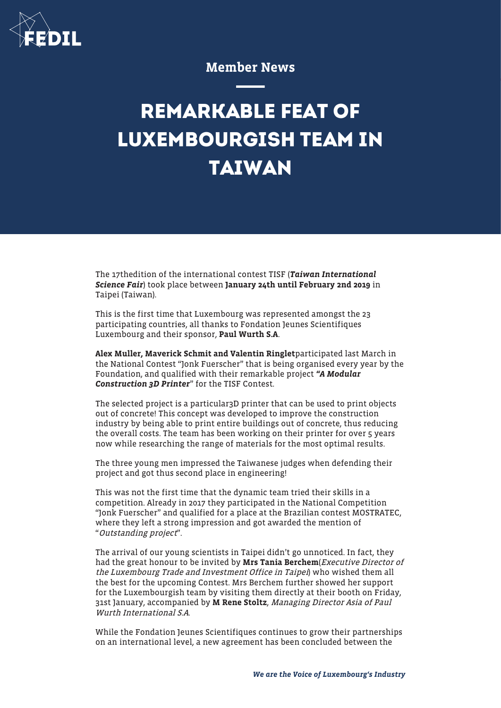

## Member News

## **REMARKABLE FEAT OF LUXEMBOURGISH TEAM IN TAIWAN**

The 17thedition of the international contest TISF (Taiwan International Science Fair) took place between January 24th until February 2nd 2019 in Taipei (Taiwan).

This is the first time that Luxembourg was represented amongst the 23 participating countries, all thanks to Fondation Jeunes Scientifiques Luxembourg and their sponsor, Paul Wurth S.A.

Alex Muller, Maverick Schmit and Valentin Ringletparticipated last March in the National Contest "Jonk Fuerscher" that is being organised every year by the Foundation, and qualified with their remarkable project "A Modular Construction 3D Printer" for the TISF Contest.

The selected project is a particular3D printer that can be used to print objects out of concrete! This concept was developed to improve the construction industry by being able to print entire buildings out of concrete, thus reducing the overall costs. The team has been working on their printer for over 5 years now while researching the range of materials for the most optimal results.

The three young men impressed the Taiwanese judges when defending their project and got thus second place in engineering!

This was not the first time that the dynamic team tried their skills in a competition. Already in 2017 they participated in the National Competition "Jonk Fuerscher" and qualified for a place at the Brazilian contest MOSTRATEC, where they left a strong impression and got awarded the mention of "Outstanding project".

The arrival of our young scientists in Taipei didn't go unnoticed. In fact, they had the great honour to be invited by Mrs Tania Berchem(Executive Director of the Luxembourg Trade and Investment Office in Taipei) who wished them all the best for the upcoming Contest. Mrs Berchem further showed her support for the Luxembourgish team by visiting them directly at their booth on Friday, 31st January, accompanied by M Rene Stoltz, Managing Director Asia of Paul Wurth International S.A.

While the Fondation Jeunes Scientifiques continues to grow their partnerships on an international level, a new agreement has been concluded between the